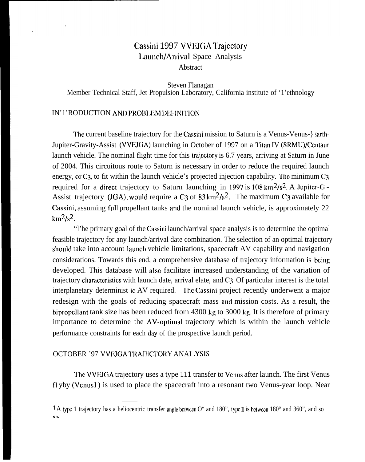# Cassini 1997 VVEJGA Trajectory 1.aunch/Arrival Space Analysis

Abstract

Steven Flanagan Member Technical Staff, Jet Propulsion Laboratory, California institute of '1'ethnology

### IN'1'RODUCTION AND PROBLEM DEFINITION

The current baseline trajectory for the Cassini mission to Saturn is a Venus-Venus-} larth-Jupiter-Gravity-Assist (VVEJGA) launching in October of 1997 on a Titan IV (SRMU)/Centaur launch vehicle. The nominal flight time for this trajedory is 6.7 years, arriving at Saturn in June of 2004. This circuitous route to Saturn is necessary in order to reduce the required launch energy, or  $C_3$ , to fit within the launch vehicle's projected injection capability. The minimum  $C_3$ required for a direct trajectory to Saturn launching in 1997 is  $108 \text{ km}^2/\text{s}^2$ . A Jupiter-G -Assist trajectory (JGA), would require a C<sub>3</sub> of  $83 \text{ km}^2/\text{s}^2$ . The maximum C<sub>3</sub> available for Cassini, assuming full propellant tanks and the nominal launch vehicle, is approximately 22  $km^2/s^2$ .

"l'he primary goal of the Cassini launch/arrival space analysis is to determine the optimal feasible trajectory for any launch/arrival date combination. The selection of an optimal trajectory should take into account launch vehicle limitations, spacecraft AV capability and navigation considerations. Towards this end, a comprehensive database of trajectory information is being developed. This database will also facilitate increased understanding of the variation of trajectory characteristics with launch date, arrival elate, and C3. Of particular interest is the total interplanetary determinist ic AV required. I'he Cassini project recently underwent a major redesign with the goals of reducing spacecraft mass and mission costs. As a result, the bipropcllant tank size has been reduced from 4300 kg to 3000 kg. It is therefore of primary importance to determine the  $\Delta V$ -optimal trajectory which is within the launch vehicle performance constraints for each day of the prospective launch period.

## OCTOBER '97 VVEJGA TRAJECTORY ANAI .YSIS

The VVEJGA trajectory uses a type 111 transfer to Venus after launch. The first Venus fl yby (Venus1) is used to place the spacecraft into a resonant two Venus-year loop. Near

<sup>&</sup>lt;sup>1</sup>A typc 1 trajectory has a heliocentric transfer angle between O" and 180", type II is between 180° and 360", and so **on.**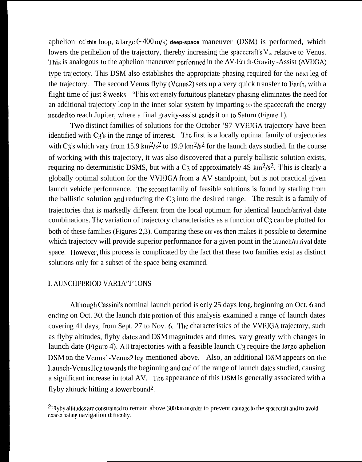aphelion of this loop, a large  $(\sim 400 \text{ m/s})$  deep-space maneuver (DSM) is performed, which lowers the perihelion of the trajectory, thereby increasing the spacecraft's  $V_{\infty}$  relative to Venus. This is analogous to the aphelion maneuver performed in the AV-Earth-Gravity -Assist (AVEGA) type trajectory. This DSM also establishes the appropriate phasing required for the next leg of the trajectory. The second Venus flyby (Venus2) sets up a very quick transfer to Earth, with a flight time of just 8 weeks, "l'his extremely fortuitous planetary phasing eliminates the need for an additional trajectory loop in the inner solar system by imparting to the spacecraft the energy needed to reach Jupiter, where a final gravity-assist sends it on to Saturn (Figure 1).

Two distinct families of solutions for the October '97 VVEJGA trajectory have been identified with C3's in the range of interest. The first is a locally optimal family of trajectories with C3's which vary from 15.9 km<sup>2</sup>/s<sup>2</sup> to 19.9 km<sup>2</sup>/s<sup>2</sup> for the launch days studied. In the course of working with this trajectory, it was also discovered that a purely ballistic solution exists, requiring no deterministic DSMS, but with a C<sub>3</sub> of approximately 4S km<sup>2</sup>/s<sup>2</sup>. This is clearly a globally optimal solution for the VVIiJGA from a AV standpoint, but is not practical given launch vehicle performance. The second family of feasible solutions is found by starling from the ballistic solution and reducing the  $C_3$  into the desired range. The result is a family of trajectories that is markedly different from the local optimum for identical launch/arrival date combinations. The variation of trajectory characteristics as a function of  $C<sub>3</sub>$  can be plotted for both of these families (Figures 2,3). Comparing these curves then makes it possible to determine which trajectory will provide superior performance for a given point in the launch/arrival date space. However, this process is complicated by the fact that these two families exist as distinct solutions only for a subset of the space being examined.

#### LAUNCHPERIOD VAR1A"J'1ONS

Although Cassini's nominal launch period is only 25 days long, beginning on Oct. 6 and ending on Oct. 30, the launch date portion of this analysis examined a range of launch dates covering 41 days, from Sept. 27 to Nov. 6. The characteristics of the VVEJGA trajectory, such as flyby altitudes, flyby dates and DSM magnitudes and times, vary greatly with changes in launch date (Figure 4). All trajectories with a feasible launch  $C_3$  require the large aphelion IXM on the Venus] -Vcnus2 leg mentioned above. Also, an additional IISM appears on the Launch-Venus leg towards the beginning and end of the range of launch dates studied, causing a significant increase in total AV. The appearance of this IDSM is generally associated with a flyby altitude hitting a lower bound<sup>2</sup>.

 $21$  Jyby altitudes are constrained to remain above 300 km in order to prevent damage to the spacecraft and to avoid exacerbating navigation difficulty.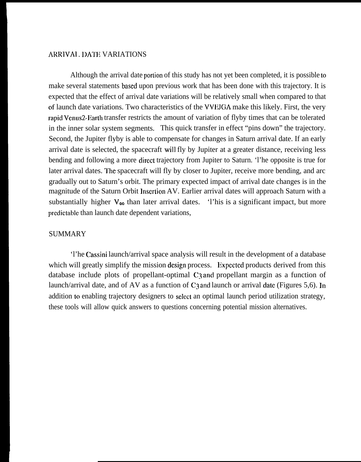#### ARRIVAI. DATE VARIATIONS

Although the arrival date portion of this study has not yet been completed, it is possible to make several statements based upon previous work that has been done with this trajectory. It is expected that the effect of arrival date variations will be relatively small when compared to that of launch date variations. Two characteristics of the VVEJGA make this likely. First, the very rapid Venus2-Earth transfer restricts the amount of variation of flyby times that can be tolerated in the inner solar system segments. This quick transfer in effect "pins down" the trajectory. Second, the Jupiter flyby is able to compensate for changes in Saturn arrival date. If an early arrival date is selected, the spacecraft will fly by Jupiter at a greater distance, receiving less bending and following a more direct trajectory from Jupiter to Saturn. 'l'he opposite is true for later arrival dates. The spacecraft will fly by closer to Jupiter, receive more bending, and arc gradually out to Saturn's orbit. The primary expected impact of arrival date changes is in the magnitude of the Saturn Orbit lnscrtion AV. Earlier arrival dates will approach Saturn with a substantially higher  $V_{\infty}$  than later arrival dates. 'l'his is a significant impact, but more predictable than launch date dependent variations,

#### SUMMARY

'l'he Cassini launch/arrival space analysis will result in the development of a database which will greatly simplify the mission design process. Expected products derived from this database include plots of propellant-optimal C<sub>3</sub> and propellant margin as a function of launch/arrival date, and of AV as a function of  $C_3$  and launch or arrival date (Figures 5,6). In addition to enabling trajectory designers to select an optimal launch period utilization strategy, these tools will allow quick answers to questions concerning potential mission alternatives.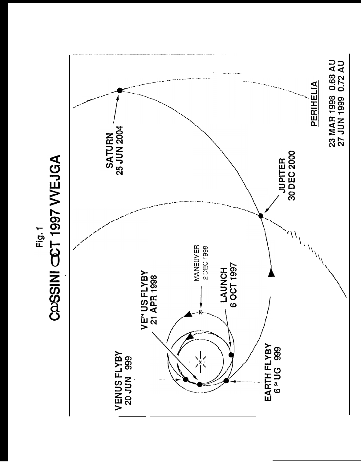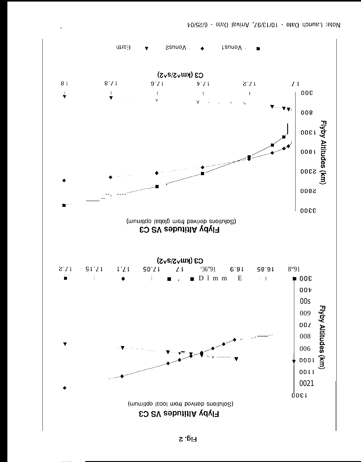

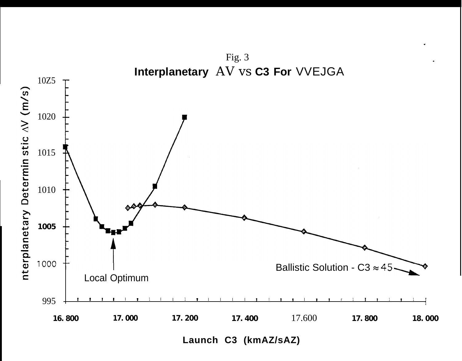

Launch C3 (kmAZ/sAZ)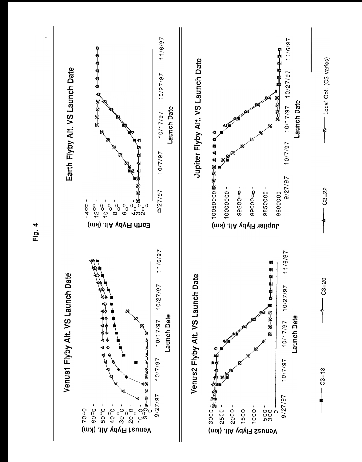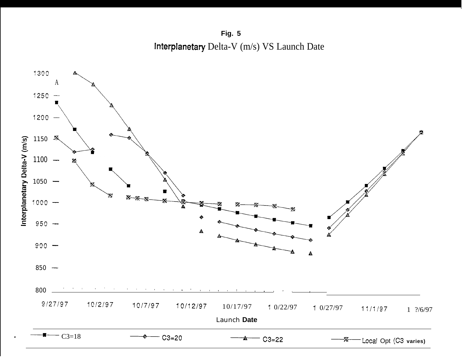**Fig. 5 Interplanetary** Delta-V (m/s) VS Launch Date